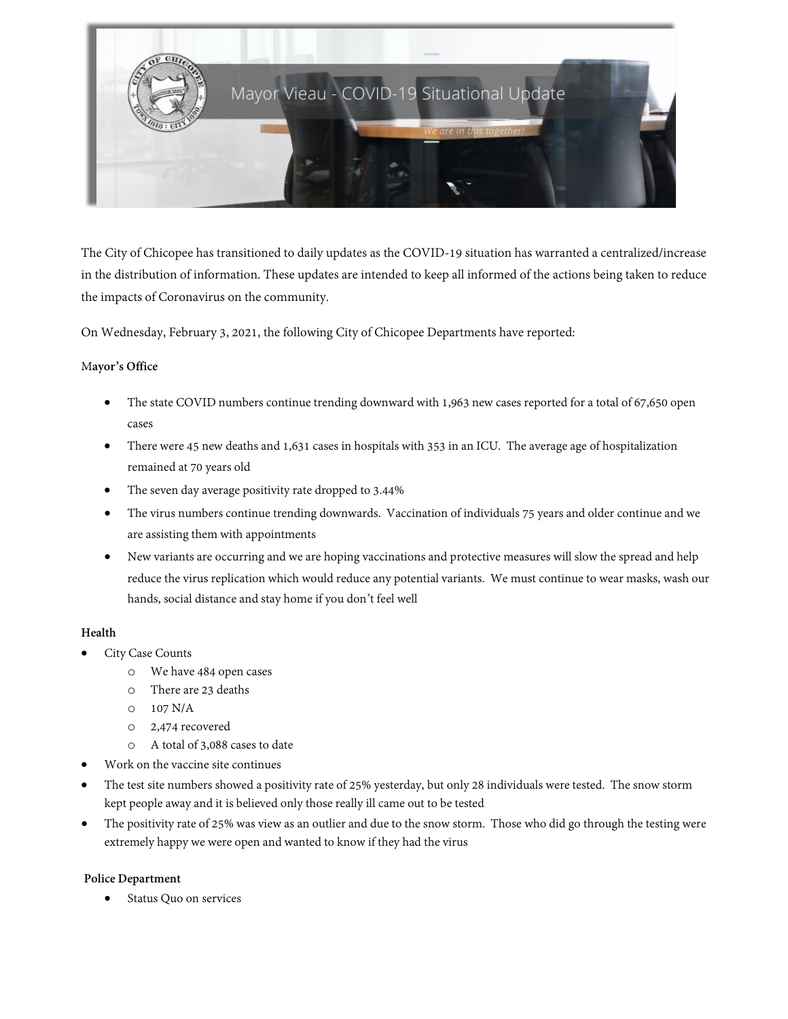

The City of Chicopee has transitioned to daily updates as the COVID-19 situation has warranted a centralized/increase in the distribution of information. These updates are intended to keep all informed of the actions being taken to reduce the impacts of Coronavirus on the community.

On Wednesday, February 3, 2021, the following City of Chicopee Departments have reported:

# M**ayor's Office**

- The state COVID numbers continue trending downward with 1,963 new cases reported for a total of 67,650 open cases
- There were 45 new deaths and 1,631 cases in hospitals with 353 in an ICU. The average age of hospitalization remained at 70 years old
- The seven day average positivity rate dropped to 3.44%
- The virus numbers continue trending downwards. Vaccination of individuals 75 years and older continue and we are assisting them with appointments
- New variants are occurring and we are hoping vaccinations and protective measures will slow the spread and help reduce the virus replication which would reduce any potential variants. We must continue to wear masks, wash our hands, social distance and stay home if you don't feel well

# **Health**

- City Case Counts
	- o We have 484 open cases
	- o There are 23 deaths
	- o 107 N/A
	- o 2,474 recovered
	- o A total of 3,088 cases to date
- Work on the vaccine site continues
- The test site numbers showed a positivity rate of 25% yesterday, but only 28 individuals were tested. The snow storm kept people away and it is believed only those really ill came out to be tested
- The positivity rate of 25% was view as an outlier and due to the snow storm. Those who did go through the testing were extremely happy we were open and wanted to know if they had the virus

## **Police Department**

Status Quo on services